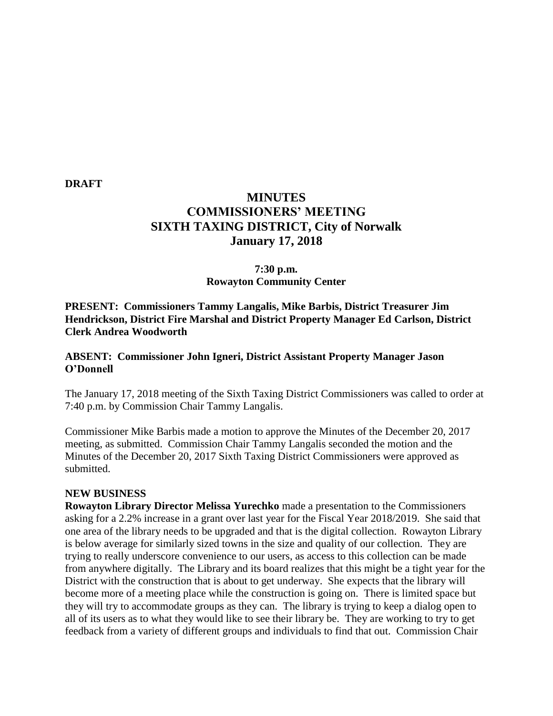**DRAFT**

# **MINUTES COMMISSIONERS' MEETING SIXTH TAXING DISTRICT, City of Norwalk January 17, 2018**

# **7:30 p.m. Rowayton Community Center**

**PRESENT: Commissioners Tammy Langalis, Mike Barbis, District Treasurer Jim Hendrickson, District Fire Marshal and District Property Manager Ed Carlson, District Clerk Andrea Woodworth**

## **ABSENT: Commissioner John Igneri, District Assistant Property Manager Jason O'Donnell**

The January 17, 2018 meeting of the Sixth Taxing District Commissioners was called to order at 7:40 p.m. by Commission Chair Tammy Langalis.

Commissioner Mike Barbis made a motion to approve the Minutes of the December 20, 2017 meeting, as submitted. Commission Chair Tammy Langalis seconded the motion and the Minutes of the December 20, 2017 Sixth Taxing District Commissioners were approved as submitted.

#### **NEW BUSINESS**

**Rowayton Library Director Melissa Yurechko** made a presentation to the Commissioners asking for a 2.2% increase in a grant over last year for the Fiscal Year 2018/2019. She said that one area of the library needs to be upgraded and that is the digital collection. Rowayton Library is below average for similarly sized towns in the size and quality of our collection. They are trying to really underscore convenience to our users, as access to this collection can be made from anywhere digitally. The Library and its board realizes that this might be a tight year for the District with the construction that is about to get underway. She expects that the library will become more of a meeting place while the construction is going on. There is limited space but they will try to accommodate groups as they can. The library is trying to keep a dialog open to all of its users as to what they would like to see their library be. They are working to try to get feedback from a variety of different groups and individuals to find that out. Commission Chair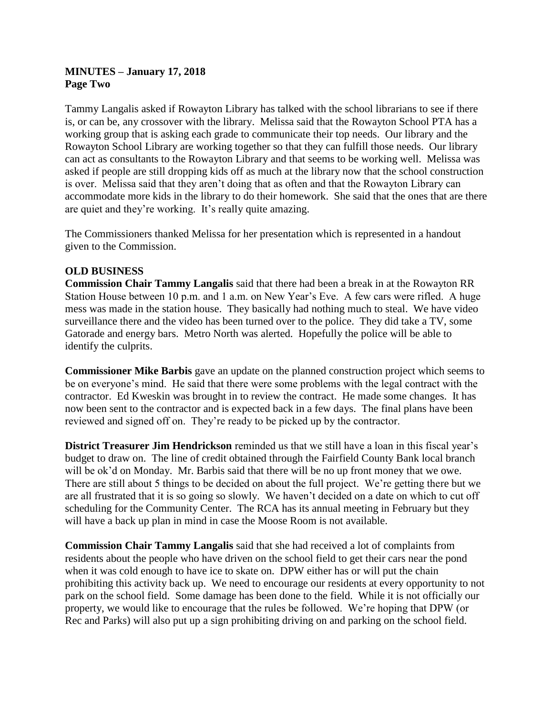# **MINUTES – January 17, 2018 Page Two**

Tammy Langalis asked if Rowayton Library has talked with the school librarians to see if there is, or can be, any crossover with the library. Melissa said that the Rowayton School PTA has a working group that is asking each grade to communicate their top needs. Our library and the Rowayton School Library are working together so that they can fulfill those needs. Our library can act as consultants to the Rowayton Library and that seems to be working well. Melissa was asked if people are still dropping kids off as much at the library now that the school construction is over. Melissa said that they aren't doing that as often and that the Rowayton Library can accommodate more kids in the library to do their homework. She said that the ones that are there are quiet and they're working. It's really quite amazing.

The Commissioners thanked Melissa for her presentation which is represented in a handout given to the Commission.

## **OLD BUSINESS**

**Commission Chair Tammy Langalis** said that there had been a break in at the Rowayton RR Station House between 10 p.m. and 1 a.m. on New Year's Eve. A few cars were rifled. A huge mess was made in the station house. They basically had nothing much to steal. We have video surveillance there and the video has been turned over to the police. They did take a TV, some Gatorade and energy bars. Metro North was alerted. Hopefully the police will be able to identify the culprits.

**Commissioner Mike Barbis** gave an update on the planned construction project which seems to be on everyone's mind. He said that there were some problems with the legal contract with the contractor. Ed Kweskin was brought in to review the contract. He made some changes. It has now been sent to the contractor and is expected back in a few days. The final plans have been reviewed and signed off on. They're ready to be picked up by the contractor.

**District Treasurer Jim Hendrickson** reminded us that we still have a loan in this fiscal year's budget to draw on. The line of credit obtained through the Fairfield County Bank local branch will be ok'd on Monday. Mr. Barbis said that there will be no up front money that we owe. There are still about 5 things to be decided on about the full project. We're getting there but we are all frustrated that it is so going so slowly. We haven't decided on a date on which to cut off scheduling for the Community Center. The RCA has its annual meeting in February but they will have a back up plan in mind in case the Moose Room is not available.

**Commission Chair Tammy Langalis** said that she had received a lot of complaints from residents about the people who have driven on the school field to get their cars near the pond when it was cold enough to have ice to skate on. DPW either has or will put the chain prohibiting this activity back up. We need to encourage our residents at every opportunity to not park on the school field. Some damage has been done to the field. While it is not officially our property, we would like to encourage that the rules be followed. We're hoping that DPW (or Rec and Parks) will also put up a sign prohibiting driving on and parking on the school field.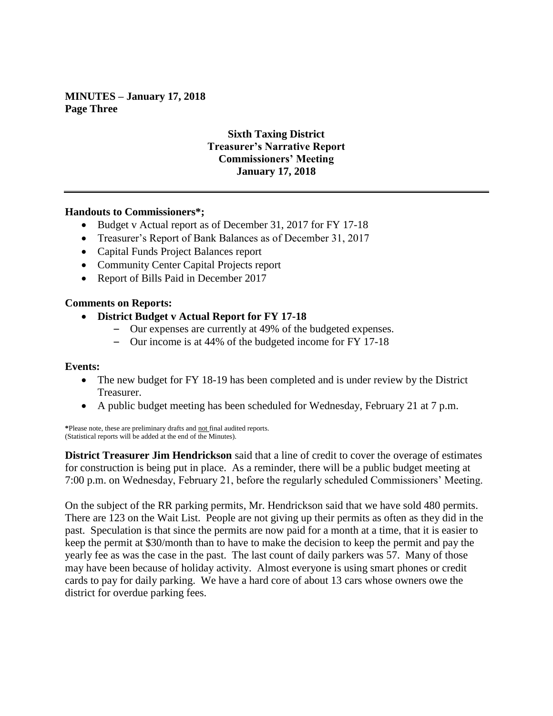**MINUTES – January 17, 2018 Page Three**

# **Sixth Taxing District Treasurer's Narrative Report Commissioners' Meeting January 17, 2018**

### **Handouts to Commissioners\*;**

- Budget v Actual report as of December 31, 2017 for FY 17-18
- Treasurer's Report of Bank Balances as of December 31, 2017
- Capital Funds Project Balances report
- Community Center Capital Projects report
- Report of Bills Paid in December 2017

### **Comments on Reports:**

- **District Budget v Actual Report for FY 17-18**
	- Our expenses are currently at 49% of the budgeted expenses.
	- Our income is at 44% of the budgeted income for FY 17-18

#### **Events:**

- The new budget for FY 18-19 has been completed and is under review by the District Treasurer.
- A public budget meeting has been scheduled for Wednesday, February 21 at 7 p.m.

**\***Please note, these are preliminary drafts and not final audited reports. (Statistical reports will be added at the end of the Minutes).

**District Treasurer Jim Hendrickson** said that a line of credit to cover the overage of estimates for construction is being put in place. As a reminder, there will be a public budget meeting at 7:00 p.m. on Wednesday, February 21, before the regularly scheduled Commissioners' Meeting.

On the subject of the RR parking permits, Mr. Hendrickson said that we have sold 480 permits. There are 123 on the Wait List. People are not giving up their permits as often as they did in the past. Speculation is that since the permits are now paid for a month at a time, that it is easier to keep the permit at \$30/month than to have to make the decision to keep the permit and pay the yearly fee as was the case in the past. The last count of daily parkers was 57. Many of those may have been because of holiday activity. Almost everyone is using smart phones or credit cards to pay for daily parking. We have a hard core of about 13 cars whose owners owe the district for overdue parking fees.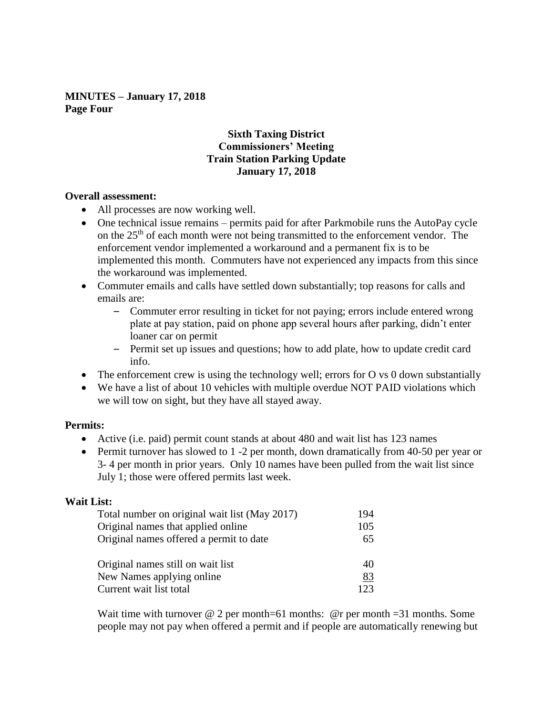**MINUTES – January 17, 2018 Page Four**

# **Sixth Taxing District Commissioners' Meeting Train Station Parking Update January 17, 2018**

### **Overall assessment:**

- All processes are now working well.
- One technical issue remains permits paid for after Parkmobile runs the AutoPay cycle on the 25th of each month were not being transmitted to the enforcement vendor. The enforcement vendor implemented a workaround and a permanent fix is to be implemented this month. Commuters have not experienced any impacts from this since the workaround was implemented.
- Commuter emails and calls have settled down substantially; top reasons for calls and emails are:
	- Commuter error resulting in ticket for not paying; errors include entered wrong plate at pay station, paid on phone app several hours after parking, didn't enter loaner car on permit
	- Permit set up issues and questions; how to add plate, how to update credit card info.
- The enforcement crew is using the technology well; errors for O vs 0 down substantially
- We have a list of about 10 vehicles with multiple overdue NOT PAID violations which we will tow on sight, but they have all stayed away.

## **Permits:**

- Active (i.e. paid) permit count stands at about 480 and wait list has 123 names
- Permit turnover has slowed to 1 -2 per month, down dramatically from 40-50 per year or 3- 4 per month in prior years. Only 10 names have been pulled from the wait list since July 1; those were offered permits last week.

## **Wait List:**

| Total number on original wait list (May 2017) | 194  |
|-----------------------------------------------|------|
| Original names that applied online            | 105  |
| Original names offered a permit to date       | 65   |
| Original names still on wait list             | 40   |
| New Names applying online                     | 83   |
| Current wait list total                       | 123. |

Wait time with turnover  $\omega$  2 per month=61 months:  $\omega$  per month =31 months. Some people may not pay when offered a permit and if people are automatically renewing but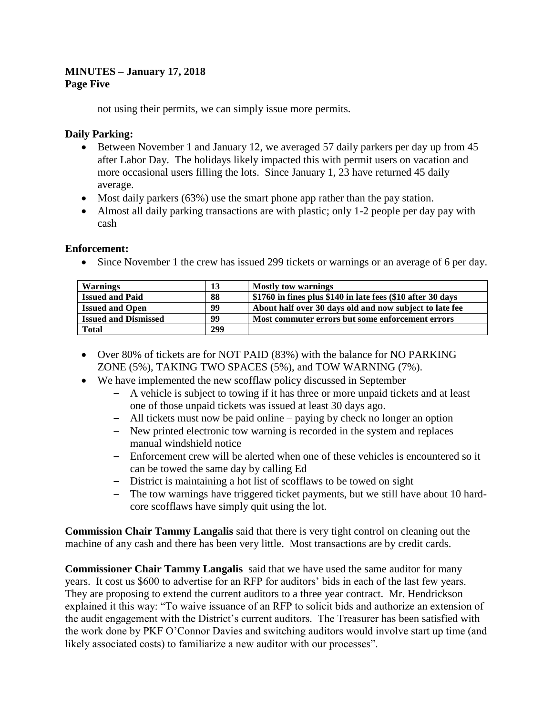## **MINUTES – January 17, 2018 Page Five**

not using their permits, we can simply issue more permits.

# **Daily Parking:**

- Between November 1 and January 12, we averaged 57 daily parkers per day up from 45 after Labor Day. The holidays likely impacted this with permit users on vacation and more occasional users filling the lots. Since January 1, 23 have returned 45 daily average.
- Most daily parkers (63%) use the smart phone app rather than the pay station.
- Almost all daily parking transactions are with plastic; only 1-2 people per day pay with cash

## **Enforcement:**

• Since November 1 the crew has issued 299 tickets or warnings or an average of 6 per day.

| <b>Warnings</b>             | 13  | <b>Mostly tow warnings</b>                                   |
|-----------------------------|-----|--------------------------------------------------------------|
| <b>Issued and Paid</b>      | 88  | \$1760 in fines plus \$140 in late fees (\$10 after 30 days) |
| <b>Issued and Open</b>      | 99  | About half over 30 days old and now subject to late fee      |
| <b>Issued and Dismissed</b> | 99  | Most commuter errors but some enforcement errors             |
| <b>Total</b>                | 299 |                                                              |

- Over 80% of tickets are for NOT PAID (83%) with the balance for NO PARKING ZONE (5%), TAKING TWO SPACES (5%), and TOW WARNING (7%).
- We have implemented the new scofflaw policy discussed in September
	- A vehicle is subject to towing if it has three or more unpaid tickets and at least one of those unpaid tickets was issued at least 30 days ago.
	- All tickets must now be paid online paying by check no longer an option
	- New printed electronic tow warning is recorded in the system and replaces manual windshield notice
	- Enforcement crew will be alerted when one of these vehicles is encountered so it can be towed the same day by calling Ed
	- District is maintaining a hot list of scofflaws to be towed on sight
	- The tow warnings have triggered ticket payments, but we still have about 10 hardcore scofflaws have simply quit using the lot.

**Commission Chair Tammy Langalis** said that there is very tight control on cleaning out the machine of any cash and there has been very little. Most transactions are by credit cards.

**Commissioner Chair Tammy Langalis** said that we have used the same auditor for many years. It cost us \$600 to advertise for an RFP for auditors' bids in each of the last few years. They are proposing to extend the current auditors to a three year contract. Mr. Hendrickson explained it this way: "To waive issuance of an RFP to solicit bids and authorize an extension of the audit engagement with the District's current auditors. The Treasurer has been satisfied with the work done by PKF O'Connor Davies and switching auditors would involve start up time (and likely associated costs) to familiarize a new auditor with our processes".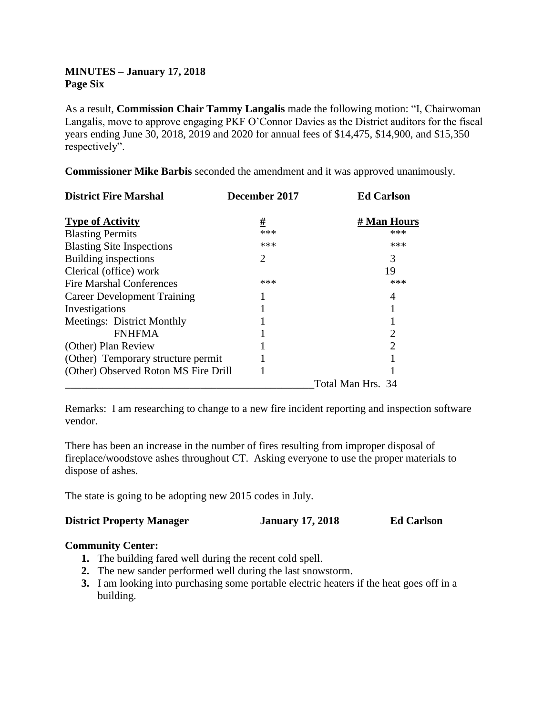# **MINUTES – January 17, 2018 Page Six**

As a result, **Commission Chair Tammy Langalis** made the following motion: "I, Chairwoman Langalis, move to approve engaging PKF O'Connor Davies as the District auditors for the fiscal years ending June 30, 2018, 2019 and 2020 for annual fees of \$14,475, \$14,900, and \$15,350 respectively".

**Commissioner Mike Barbis** seconded the amendment and it was approved unanimously.

| <b>District Fire Marshal</b>         | December 2017 | <b>Ed Carlson</b>           |
|--------------------------------------|---------------|-----------------------------|
| <b>Type of Activity</b>              | <u>#</u>      | # Man Hours                 |
| <b>Blasting Permits</b>              | ***           | ***                         |
| <b>Blasting Site Inspections</b>     | ***           | ***                         |
| Building inspections                 | 2             | 3                           |
| Clerical (office) work               |               | 19                          |
| <b>Fire Marshal Conferences</b>      | ***           | ***                         |
| <b>Career Development Training</b>   |               | 4                           |
| Investigations                       |               |                             |
| Meetings: District Monthly           |               |                             |
| <b>FNHFMA</b>                        |               | 2                           |
| (Other) Plan Review                  |               | $\mathcal{D}_{\mathcal{A}}$ |
| (Other) Temporary structure permit   |               |                             |
| (Other) Observed Roton MS Fire Drill |               |                             |
|                                      |               | Total Man Hrs. 34           |

Remarks: I am researching to change to a new fire incident reporting and inspection software vendor.

There has been an increase in the number of fires resulting from improper disposal of fireplace/woodstove ashes throughout CT. Asking everyone to use the proper materials to dispose of ashes.

The state is going to be adopting new 2015 codes in July.

| <b>District Property Manager</b> | <b>January 17, 2018</b> | <b>Ed Carlson</b> |
|----------------------------------|-------------------------|-------------------|
|                                  |                         |                   |

## **Community Center:**

- **1.** The building fared well during the recent cold spell.
- **2.** The new sander performed well during the last snowstorm.
- **3.** I am looking into purchasing some portable electric heaters if the heat goes off in a building.